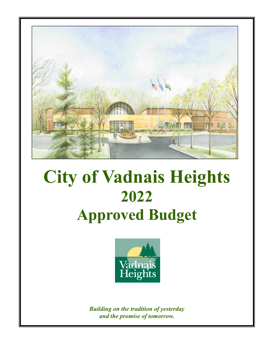

# **City of Vadnais Heights 2022 Approved Budget**



*Building on the tradition of yesterday and the promise of tomorrow.*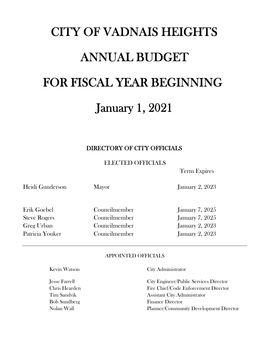# CITY OF VADNAIS HEIGHTS ANNUAL BUDGET FOR FISCAL YEAR BEGINNING January 1, 2022

# DIRECTORY OF CITY OFFICIALS

ELECTED OFFICIALS

Term Expires

Erik Goebel Councilmember January 7, 2025

Heidi Gunderson Mayor January 2, 2023

Steve Rogers Councilmember January 7, 2025 Greg Urban Councilmember January 2, 2023 Patricia Youker Councilmember January 2, 2023

#### APPOINTED OFFICIALS

Kevin Watson City Administrator

Jesse Farrell City Engineer/Public Services Director Chris Hearden Fire Chief/Code Enforcement Director **Tim Sandvik** Assistant City Administrator Bob Sundberg Finance Director Nolan Wall Planner/Community Development Director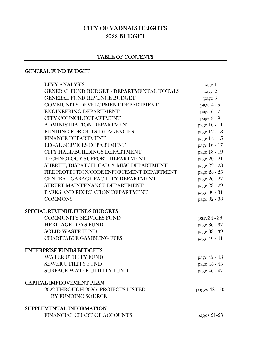# CITY OF VADNAIS HEIGHTS 2022 BUDGET

# TABLE OF CONTENTS

#### GENERAL FUND BUDGET

| <b>LEVY ANALYSIS</b>                             | page 1         |
|--------------------------------------------------|----------------|
| <b>GENERAL FUND BUDGET - DEPARTMENTAL TOTALS</b> | page 2         |
| <b>GENERAL FUND REVENUE BUDGET</b>               | page 3         |
| COMMUNITY DEVELOPMENT DEPARTMENT                 | page $4-5$     |
| <b>ENGINEERING DEPARTMENT</b>                    | page 6 - 7     |
| <b>CITY COUNCIL DEPARTMENT</b>                   | page 8 - 9     |
| ADMINISTRATION DEPARTMENT                        | page 10 - 11   |
| <b>FUNDING FOR OUTSIDE AGENCIES</b>              | page 12 - 13   |
| <b>FINANCE DEPARTMENT</b>                        | page 14 - 15   |
| <b>LEGAL SERVICES DEPARTMENT</b>                 | page 16 - 17   |
| CITY HALL/BUILDINGS DEPARTMENT                   | page 18 - 19   |
| TECHNOLOGY SUPPORT DEPARTMENT                    | page 20 - 21   |
| SHERIFF, DISPATCH, CAD, & MISC DEPARTMENT        | page 22 - 23   |
| FIRE PROTECTION/CODE ENFORCEMENT DEPARTMENT      | page 24 - 25   |
| CENTRAL GARAGE FACILITY DEPARTMENT               | page 26 - 27   |
| STREET MAINTENANCE DEPARTMENT                    | page 28 - 29   |
| PARKS AND RECREATION DEPARTMENT                  | page 30 - 31   |
| <b>COMMONS</b>                                   | page 32 - 33   |
| <b>SPECIAL REVENUE FUNDS BUDGETS</b>             |                |
| <b>COMMUNITY SERVICES FUND</b>                   | page $34 - 35$ |
| <b>HERITAGE DAYS FUND</b>                        | page 36 - 37   |
| <b>SOLID WASTE FUND</b>                          | page 38 - 39   |
| <b>CHARITABLE GAMBLING FEES</b>                  | page 40 - 41   |
| <b>ENTERPRISE FUNDS BUDGETS</b>                  |                |
| <b>WATER UTILITY FUND</b>                        | page 42 - 43   |
| <b>SEWER UTILITY FUND</b>                        | page 44 - 45   |
| <b>SURFACE WATER UTILITY FUND</b>                | page 46 - 47   |
| <b>CAPITAL IMPROVEMENT PLAN</b>                  |                |
| 2022 THROUGH 2026: PROJECTS LISTED               | pages 48 - 50  |
| <b>BY FUNDING SOURCE</b>                         |                |
| <b>SUPPLEMENTAL INFORMATION</b>                  |                |
| FINANCIAL CHART OF ACCOUNTS                      | pages $51-53$  |
|                                                  |                |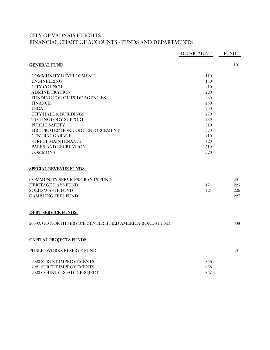# CITY OF VADNAIS HEIGHTS FINANCIAL CHART OF ACCOUNTS - FUNDS AND DEPARTMENTS

|                                                        | <b>DEPARTMENT</b> | <b>FUND</b> |
|--------------------------------------------------------|-------------------|-------------|
| <b>GENERAL FUND</b>                                    |                   | 101         |
| <b>COMMUNITY DEVELOPMENT</b>                           | 110               |             |
| <b>ENGINEERING</b>                                     | 140               |             |
| CITY COUNCIL                                           | 210               |             |
| <b>ADMINISTRATION</b>                                  | 220               |             |
| FUNDING FOR OUTSIDE AGENCIES                           | 230               |             |
| <b>FINANCE</b>                                         | 2.50              |             |
| <b>LEGAL</b>                                           | 260               |             |
| <b>CITY HALL &amp; BUILDINGS</b>                       | 270               |             |
| <b>TECHNOLOGY SUPPORT</b>                              | 280               |             |
| <b>PUBLIC SAFETY</b>                                   | 310               |             |
| FIRE PROTECTION/CODE ENFORCEMENT                       | 320               |             |
| <b>CENTRAL GARAGE</b>                                  | 410               |             |
| STREET MAINTENANCE                                     | 420               |             |
| PARKS AND RECREATION                                   | 510               |             |
| <b>COMMONS</b>                                         | 520               |             |
| <b>SPECIAL REVENUE FUNDS:</b>                          |                   |             |
| <b>COMMUNITY SERVICES/GRANTS FUND</b>                  |                   | 201         |
| <b>HERITAGE DAYS FUND</b>                              | 171               | 225         |
| <b>SOLID WASTE FUND</b>                                | 421               | 226         |
| <b>GAMBLING FEES FUND</b>                              |                   | 227         |
| <b>DEBT SERVICE FUNDS:</b>                             |                   |             |
| 2009A GO NORTH SERVICE CENTER BUILD AMERICA BONDS FUND |                   | 308         |
| <b>CAPITAL PROJECTS FUNDS:</b>                         |                   |             |
| <b>PUBLIC WORKS RESERVE FUND</b>                       |                   | 401         |
| <b>2020 STREET IMPROVEMENTS</b>                        | 856               |             |
| <b>2021 STREET IMPROVEMENTS</b>                        | 858               |             |
| 2020 COUNTY ROAD D PROJECT                             | 857               |             |
|                                                        |                   |             |